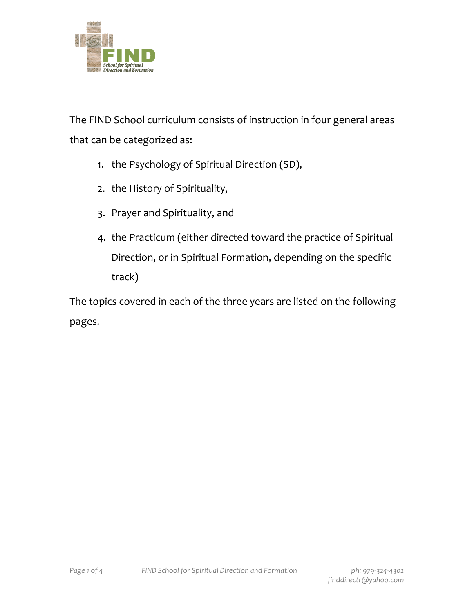

The FIND School curriculum consists of instruction in four general areas that can be categorized as:

- 1. the Psychology of Spiritual Direction (SD),
- 2. the History of Spirituality,
- 3. Prayer and Spirituality, and
- 4. the Practicum (either directed toward the practice of Spiritual Direction, or in Spiritual Formation, depending on the specific track)

The topics covered in each of the three years are listed on the following pages.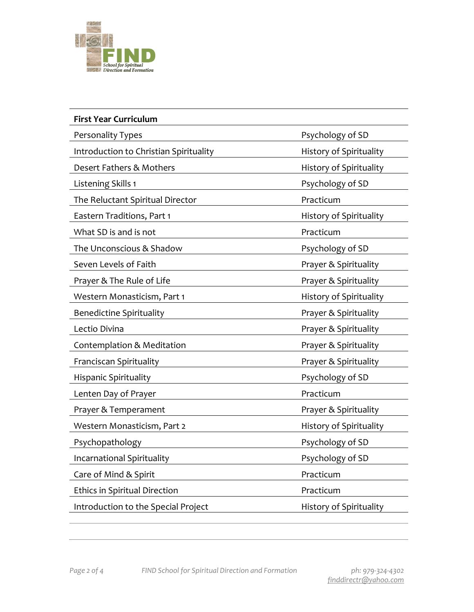

| <b>First Year Curriculum</b>           |                                |
|----------------------------------------|--------------------------------|
| Personality Types                      | Psychology of SD               |
| Introduction to Christian Spirituality | History of Spirituality        |
| Desert Fathers & Mothers               | History of Spirituality        |
| Listening Skills 1                     | Psychology of SD               |
| The Reluctant Spiritual Director       | Practicum                      |
| Eastern Traditions, Part 1             | <b>History of Spirituality</b> |
| What SD is and is not                  | Practicum                      |
| The Unconscious & Shadow               | Psychology of SD               |
| Seven Levels of Faith                  | Prayer & Spirituality          |
| Prayer & The Rule of Life              | Prayer & Spirituality          |
| Western Monasticism, Part 1            | <b>History of Spirituality</b> |
| <b>Benedictine Spirituality</b>        | Prayer & Spirituality          |
| Lectio Divina                          | Prayer & Spirituality          |
| Contemplation & Meditation             | Prayer & Spirituality          |
| Franciscan Spirituality                | Prayer & Spirituality          |
| <b>Hispanic Spirituality</b>           | Psychology of SD               |
| Lenten Day of Prayer                   | Practicum                      |
| Prayer & Temperament                   | Prayer & Spirituality          |
| Western Monasticism, Part 2            | History of Spirituality        |
| Psychopathology                        | Psychology of SD               |
| Incarnational Spirituality             | Psychology of SD               |
| Care of Mind & Spirit                  | Practicum                      |
| <b>Ethics in Spiritual Direction</b>   | Practicum                      |
| Introduction to the Special Project    | <b>History of Spirituality</b> |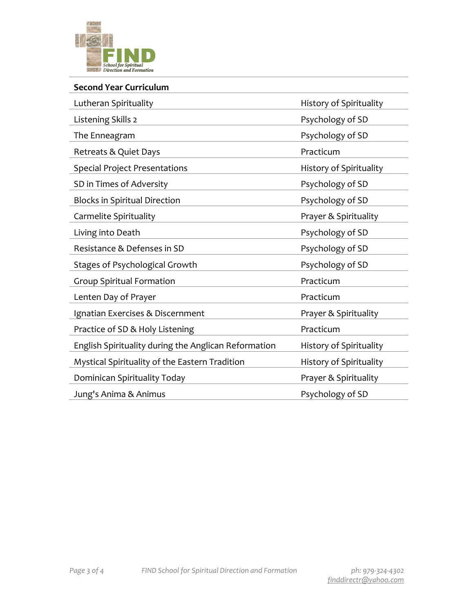

## **Second Year Curriculum**

| Lutheran Spirituality                                | History of Spirituality |
|------------------------------------------------------|-------------------------|
| Listening Skills 2                                   | Psychology of SD        |
| The Enneagram                                        | Psychology of SD        |
| Retreats & Quiet Days                                | Practicum               |
| <b>Special Project Presentations</b>                 | History of Spirituality |
| SD in Times of Adversity                             | Psychology of SD        |
| <b>Blocks in Spiritual Direction</b>                 | Psychology of SD        |
| Carmelite Spirituality                               | Prayer & Spirituality   |
| Living into Death                                    | Psychology of SD        |
| Resistance & Defenses in SD                          | Psychology of SD        |
| <b>Stages of Psychological Growth</b>                | Psychology of SD        |
| <b>Group Spiritual Formation</b>                     | Practicum               |
| Lenten Day of Prayer                                 | Practicum               |
| Ignatian Exercises & Discernment                     | Prayer & Spirituality   |
| Practice of SD & Holy Listening                      | Practicum               |
| English Spirituality during the Anglican Reformation | History of Spirituality |
| Mystical Spirituality of the Eastern Tradition       | History of Spirituality |
| Dominican Spirituality Today                         | Prayer & Spirituality   |
| Jung's Anima & Animus                                | Psychology of SD        |